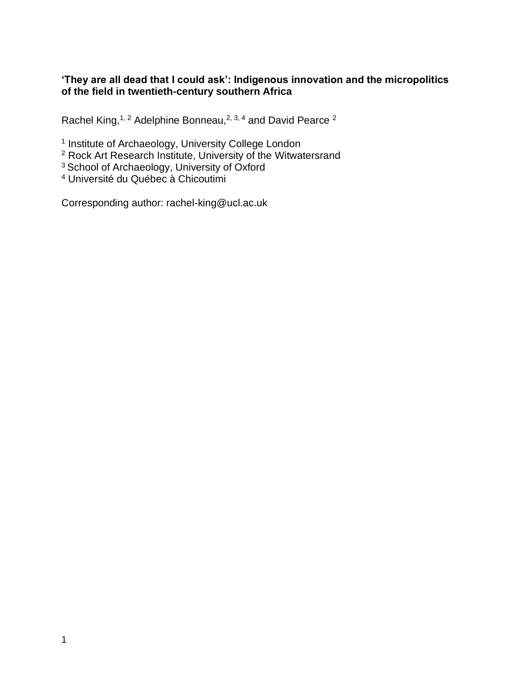# **'They are all dead that I could ask': Indigenous innovation and the micropolitics of the field in twentieth-century southern Africa**

Rachel King,<sup>1, 2</sup> Adelphine Bonneau,<sup>2, 3, 4</sup> and David Pearce  $^2$ 

<sup>1</sup> Institute of Archaeology, University College London

 $2$  Rock Art Research Institute, University of the Witwatersrand

<sup>3</sup> School of Archaeology, University of Oxford

<sup>4</sup> Université du Québec à Chicoutimi

Corresponding author: rachel-king@ucl.ac.uk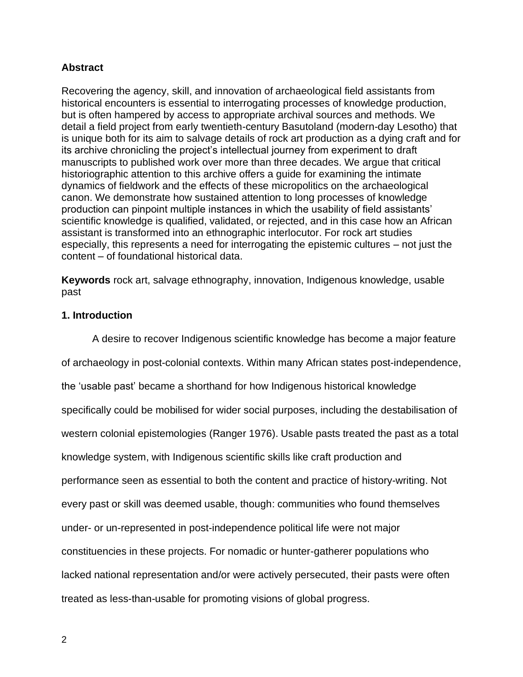# **Abstract**

Recovering the agency, skill, and innovation of archaeological field assistants from historical encounters is essential to interrogating processes of knowledge production, but is often hampered by access to appropriate archival sources and methods. We detail a field project from early twentieth-century Basutoland (modern-day Lesotho) that is unique both for its aim to salvage details of rock art production as a dying craft and for its archive chronicling the project's intellectual journey from experiment to draft manuscripts to published work over more than three decades. We argue that critical historiographic attention to this archive offers a guide for examining the intimate dynamics of fieldwork and the effects of these micropolitics on the archaeological canon. We demonstrate how sustained attention to long processes of knowledge production can pinpoint multiple instances in which the usability of field assistants' scientific knowledge is qualified, validated, or rejected, and in this case how an African assistant is transformed into an ethnographic interlocutor. For rock art studies especially, this represents a need for interrogating the epistemic cultures – not just the content – of foundational historical data.

**Keywords** rock art, salvage ethnography, innovation, Indigenous knowledge, usable past

## **1. Introduction**

A desire to recover Indigenous scientific knowledge has become a major feature of archaeology in post-colonial contexts. Within many African states post-independence, the 'usable past' became a shorthand for how Indigenous historical knowledge specifically could be mobilised for wider social purposes, including the destabilisation of western colonial epistemologies (Ranger 1976). Usable pasts treated the past as a total knowledge system, with Indigenous scientific skills like craft production and performance seen as essential to both the content and practice of history-writing. Not every past or skill was deemed usable, though: communities who found themselves under- or un-represented in post-independence political life were not major constituencies in these projects. For nomadic or hunter-gatherer populations who lacked national representation and/or were actively persecuted, their pasts were often treated as less-than-usable for promoting visions of global progress.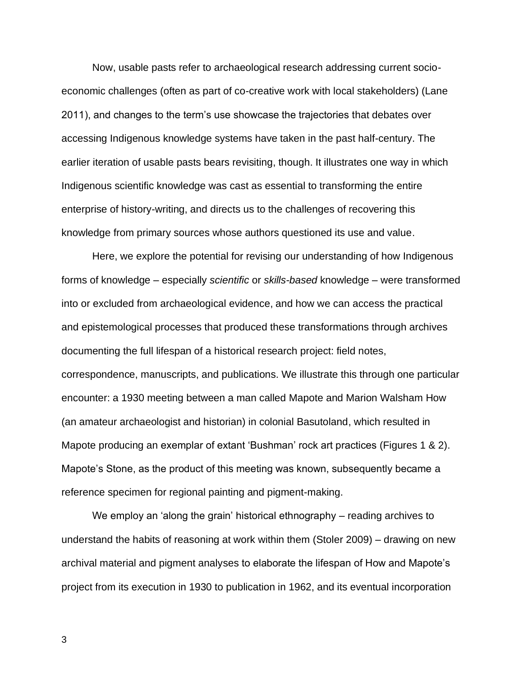Now, usable pasts refer to archaeological research addressing current socioeconomic challenges (often as part of co-creative work with local stakeholders) (Lane 2011), and changes to the term's use showcase the trajectories that debates over accessing Indigenous knowledge systems have taken in the past half-century. The earlier iteration of usable pasts bears revisiting, though. It illustrates one way in which Indigenous scientific knowledge was cast as essential to transforming the entire enterprise of history-writing, and directs us to the challenges of recovering this knowledge from primary sources whose authors questioned its use and value.

Here, we explore the potential for revising our understanding of how Indigenous forms of knowledge – especially *scientific* or *skills-based* knowledge – were transformed into or excluded from archaeological evidence, and how we can access the practical and epistemological processes that produced these transformations through archives documenting the full lifespan of a historical research project: field notes, correspondence, manuscripts, and publications. We illustrate this through one particular encounter: a 1930 meeting between a man called Mapote and Marion Walsham How (an amateur archaeologist and historian) in colonial Basutoland, which resulted in Mapote producing an exemplar of extant 'Bushman' rock art practices (Figures 1 & 2). Mapote's Stone, as the product of this meeting was known, subsequently became a reference specimen for regional painting and pigment-making.

We employ an 'along the grain' historical ethnography – reading archives to understand the habits of reasoning at work within them (Stoler 2009) – drawing on new archival material and pigment analyses to elaborate the lifespan of How and Mapote's project from its execution in 1930 to publication in 1962, and its eventual incorporation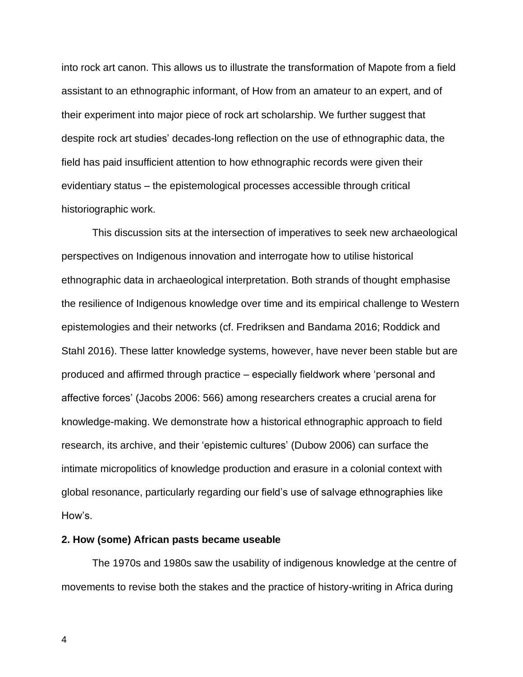into rock art canon. This allows us to illustrate the transformation of Mapote from a field assistant to an ethnographic informant, of How from an amateur to an expert, and of their experiment into major piece of rock art scholarship. We further suggest that despite rock art studies' decades-long reflection on the use of ethnographic data, the field has paid insufficient attention to how ethnographic records were given their evidentiary status – the epistemological processes accessible through critical historiographic work.

This discussion sits at the intersection of imperatives to seek new archaeological perspectives on Indigenous innovation and interrogate how to utilise historical ethnographic data in archaeological interpretation. Both strands of thought emphasise the resilience of Indigenous knowledge over time and its empirical challenge to Western epistemologies and their networks (cf. Fredriksen and Bandama 2016; Roddick and Stahl 2016). These latter knowledge systems, however, have never been stable but are produced and affirmed through practice – especially fieldwork where 'personal and affective forces' (Jacobs 2006: 566) among researchers creates a crucial arena for knowledge-making. We demonstrate how a historical ethnographic approach to field research, its archive, and their 'epistemic cultures' (Dubow 2006) can surface the intimate micropolitics of knowledge production and erasure in a colonial context with global resonance, particularly regarding our field's use of salvage ethnographies like How's.

### **2. How (some) African pasts became useable**

The 1970s and 1980s saw the usability of indigenous knowledge at the centre of movements to revise both the stakes and the practice of history-writing in Africa during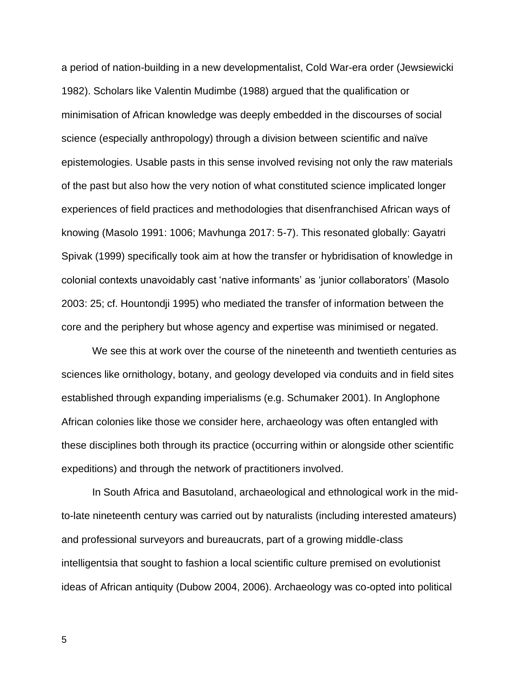a period of nation-building in a new developmentalist, Cold War-era order (Jewsiewicki 1982). Scholars like Valentin Mudimbe (1988) argued that the qualification or minimisation of African knowledge was deeply embedded in the discourses of social science (especially anthropology) through a division between scientific and naïve epistemologies. Usable pasts in this sense involved revising not only the raw materials of the past but also how the very notion of what constituted science implicated longer experiences of field practices and methodologies that disenfranchised African ways of knowing (Masolo 1991: 1006; Mavhunga 2017: 5-7). This resonated globally: Gayatri Spivak (1999) specifically took aim at how the transfer or hybridisation of knowledge in colonial contexts unavoidably cast 'native informants' as 'junior collaborators' (Masolo 2003: 25; cf. Hountondji 1995) who mediated the transfer of information between the core and the periphery but whose agency and expertise was minimised or negated.

We see this at work over the course of the nineteenth and twentieth centuries as sciences like ornithology, botany, and geology developed via conduits and in field sites established through expanding imperialisms (e.g. Schumaker 2001). In Anglophone African colonies like those we consider here, archaeology was often entangled with these disciplines both through its practice (occurring within or alongside other scientific expeditions) and through the network of practitioners involved.

In South Africa and Basutoland, archaeological and ethnological work in the midto-late nineteenth century was carried out by naturalists (including interested amateurs) and professional surveyors and bureaucrats, part of a growing middle-class intelligentsia that sought to fashion a local scientific culture premised on evolutionist ideas of African antiquity (Dubow 2004, 2006). Archaeology was co-opted into political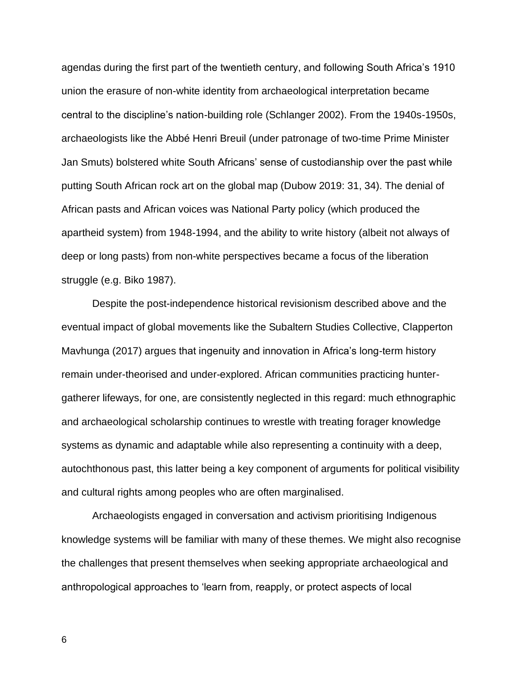agendas during the first part of the twentieth century, and following South Africa's 1910 union the erasure of non-white identity from archaeological interpretation became central to the discipline's nation-building role (Schlanger 2002). From the 1940s-1950s, archaeologists like the Abbé Henri Breuil (under patronage of two-time Prime Minister Jan Smuts) bolstered white South Africans' sense of custodianship over the past while putting South African rock art on the global map (Dubow 2019: 31, 34). The denial of African pasts and African voices was National Party policy (which produced the apartheid system) from 1948-1994, and the ability to write history (albeit not always of deep or long pasts) from non-white perspectives became a focus of the liberation struggle (e.g. Biko 1987).

Despite the post-independence historical revisionism described above and the eventual impact of global movements like the Subaltern Studies Collective, Clapperton Mavhunga (2017) argues that ingenuity and innovation in Africa's long-term history remain under-theorised and under-explored. African communities practicing huntergatherer lifeways, for one, are consistently neglected in this regard: much ethnographic and archaeological scholarship continues to wrestle with treating forager knowledge systems as dynamic and adaptable while also representing a continuity with a deep, autochthonous past, this latter being a key component of arguments for political visibility and cultural rights among peoples who are often marginalised.

Archaeologists engaged in conversation and activism prioritising Indigenous knowledge systems will be familiar with many of these themes. We might also recognise the challenges that present themselves when seeking appropriate archaeological and anthropological approaches to 'learn from, reapply, or protect aspects of local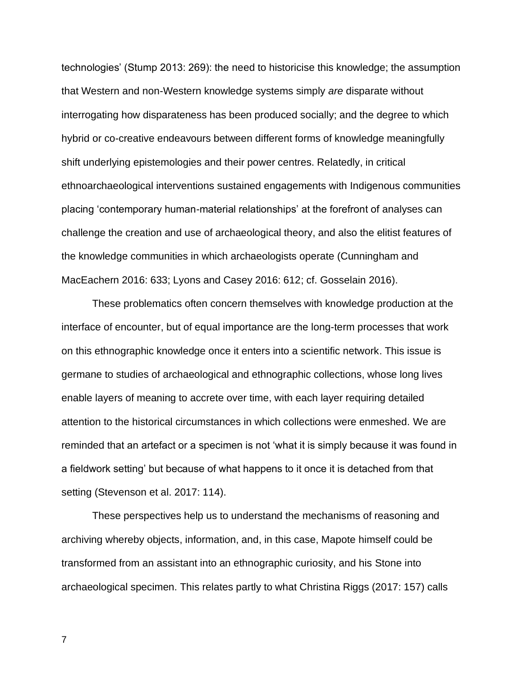technologies' (Stump 2013: 269): the need to historicise this knowledge; the assumption that Western and non-Western knowledge systems simply *are* disparate without interrogating how disparateness has been produced socially; and the degree to which hybrid or co-creative endeavours between different forms of knowledge meaningfully shift underlying epistemologies and their power centres. Relatedly, in critical ethnoarchaeological interventions sustained engagements with Indigenous communities placing 'contemporary human-material relationships' at the forefront of analyses can challenge the creation and use of archaeological theory, and also the elitist features of the knowledge communities in which archaeologists operate (Cunningham and MacEachern 2016: 633; Lyons and Casey 2016: 612; cf. Gosselain 2016).

These problematics often concern themselves with knowledge production at the interface of encounter, but of equal importance are the long-term processes that work on this ethnographic knowledge once it enters into a scientific network. This issue is germane to studies of archaeological and ethnographic collections, whose long lives enable layers of meaning to accrete over time, with each layer requiring detailed attention to the historical circumstances in which collections were enmeshed. We are reminded that an artefact or a specimen is not 'what it is simply because it was found in a fieldwork setting' but because of what happens to it once it is detached from that setting (Stevenson et al. 2017: 114).

These perspectives help us to understand the mechanisms of reasoning and archiving whereby objects, information, and, in this case, Mapote himself could be transformed from an assistant into an ethnographic curiosity, and his Stone into archaeological specimen. This relates partly to what Christina Riggs (2017: 157) calls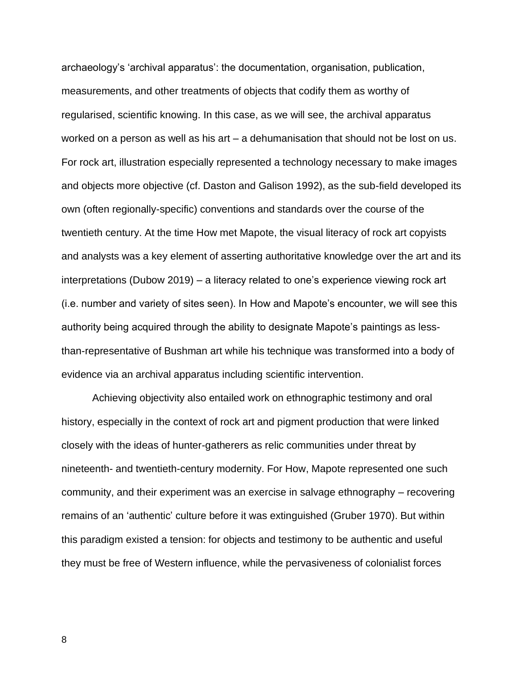archaeology's 'archival apparatus': the documentation, organisation, publication, measurements, and other treatments of objects that codify them as worthy of regularised, scientific knowing. In this case, as we will see, the archival apparatus worked on a person as well as his art – a dehumanisation that should not be lost on us. For rock art, illustration especially represented a technology necessary to make images and objects more objective (cf. Daston and Galison 1992), as the sub-field developed its own (often regionally-specific) conventions and standards over the course of the twentieth century. At the time How met Mapote, the visual literacy of rock art copyists and analysts was a key element of asserting authoritative knowledge over the art and its interpretations (Dubow 2019) – a literacy related to one's experience viewing rock art (i.e. number and variety of sites seen). In How and Mapote's encounter, we will see this authority being acquired through the ability to designate Mapote's paintings as lessthan-representative of Bushman art while his technique was transformed into a body of evidence via an archival apparatus including scientific intervention.

Achieving objectivity also entailed work on ethnographic testimony and oral history, especially in the context of rock art and pigment production that were linked closely with the ideas of hunter-gatherers as relic communities under threat by nineteenth- and twentieth-century modernity. For How, Mapote represented one such community, and their experiment was an exercise in salvage ethnography – recovering remains of an 'authentic' culture before it was extinguished (Gruber 1970). But within this paradigm existed a tension: for objects and testimony to be authentic and useful they must be free of Western influence, while the pervasiveness of colonialist forces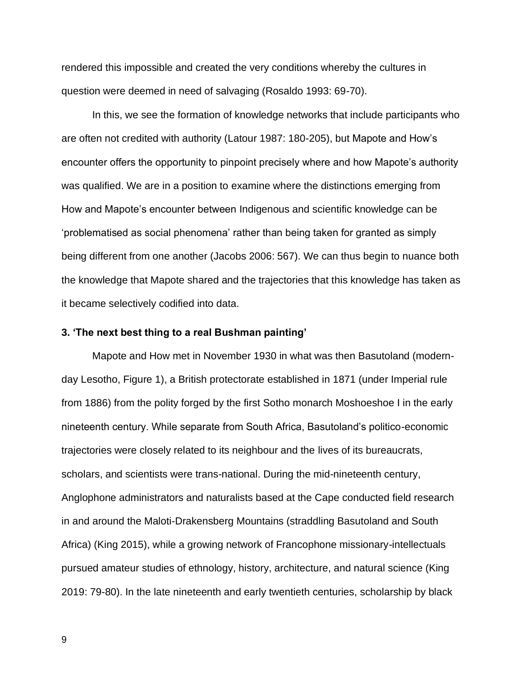rendered this impossible and created the very conditions whereby the cultures in question were deemed in need of salvaging (Rosaldo 1993: 69-70).

In this, we see the formation of knowledge networks that include participants who are often not credited with authority (Latour 1987: 180-205), but Mapote and How's encounter offers the opportunity to pinpoint precisely where and how Mapote's authority was qualified. We are in a position to examine where the distinctions emerging from How and Mapote's encounter between Indigenous and scientific knowledge can be 'problematised as social phenomena' rather than being taken for granted as simply being different from one another (Jacobs 2006: 567). We can thus begin to nuance both the knowledge that Mapote shared and the trajectories that this knowledge has taken as it became selectively codified into data.

#### **3. 'The next best thing to a real Bushman painting'**

Mapote and How met in November 1930 in what was then Basutoland (modernday Lesotho, Figure 1), a British protectorate established in 1871 (under Imperial rule from 1886) from the polity forged by the first Sotho monarch Moshoeshoe I in the early nineteenth century. While separate from South Africa, Basutoland's politico-economic trajectories were closely related to its neighbour and the lives of its bureaucrats, scholars, and scientists were trans-national. During the mid-nineteenth century, Anglophone administrators and naturalists based at the Cape conducted field research in and around the Maloti-Drakensberg Mountains (straddling Basutoland and South Africa) (King 2015), while a growing network of Francophone missionary-intellectuals pursued amateur studies of ethnology, history, architecture, and natural science (King 2019: 79-80). In the late nineteenth and early twentieth centuries, scholarship by black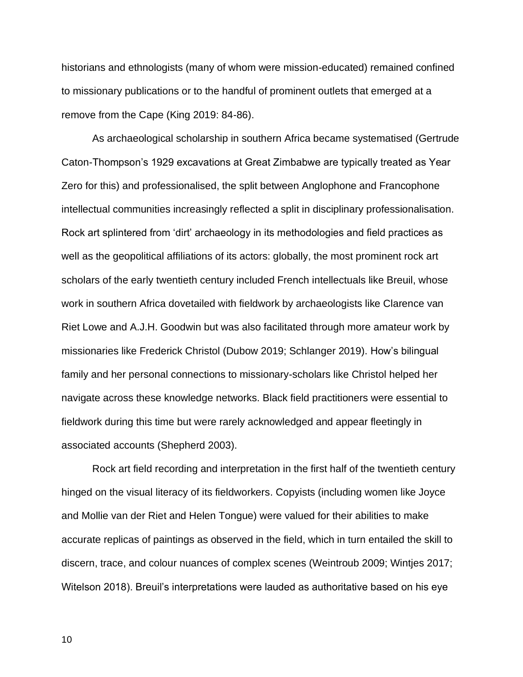historians and ethnologists (many of whom were mission-educated) remained confined to missionary publications or to the handful of prominent outlets that emerged at a remove from the Cape (King 2019: 84-86).

As archaeological scholarship in southern Africa became systematised (Gertrude Caton-Thompson's 1929 excavations at Great Zimbabwe are typically treated as Year Zero for this) and professionalised, the split between Anglophone and Francophone intellectual communities increasingly reflected a split in disciplinary professionalisation. Rock art splintered from 'dirt' archaeology in its methodologies and field practices as well as the geopolitical affiliations of its actors: globally, the most prominent rock art scholars of the early twentieth century included French intellectuals like Breuil, whose work in southern Africa dovetailed with fieldwork by archaeologists like Clarence van Riet Lowe and A.J.H. Goodwin but was also facilitated through more amateur work by missionaries like Frederick Christol (Dubow 2019; Schlanger 2019). How's bilingual family and her personal connections to missionary-scholars like Christol helped her navigate across these knowledge networks. Black field practitioners were essential to fieldwork during this time but were rarely acknowledged and appear fleetingly in associated accounts (Shepherd 2003).

Rock art field recording and interpretation in the first half of the twentieth century hinged on the visual literacy of its fieldworkers. Copyists (including women like Joyce and Mollie van der Riet and Helen Tongue) were valued for their abilities to make accurate replicas of paintings as observed in the field, which in turn entailed the skill to discern, trace, and colour nuances of complex scenes (Weintroub 2009; Wintjes 2017; Witelson 2018). Breuil's interpretations were lauded as authoritative based on his eye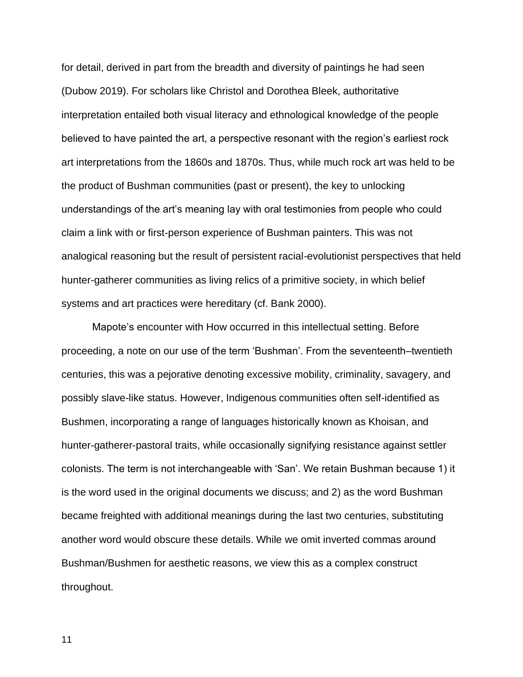for detail, derived in part from the breadth and diversity of paintings he had seen (Dubow 2019). For scholars like Christol and Dorothea Bleek, authoritative interpretation entailed both visual literacy and ethnological knowledge of the people believed to have painted the art, a perspective resonant with the region's earliest rock art interpretations from the 1860s and 1870s. Thus, while much rock art was held to be the product of Bushman communities (past or present), the key to unlocking understandings of the art's meaning lay with oral testimonies from people who could claim a link with or first-person experience of Bushman painters. This was not analogical reasoning but the result of persistent racial-evolutionist perspectives that held hunter-gatherer communities as living relics of a primitive society, in which belief systems and art practices were hereditary (cf. Bank 2000).

Mapote's encounter with How occurred in this intellectual setting. Before proceeding, a note on our use of the term 'Bushman'. From the seventeenth–twentieth centuries, this was a pejorative denoting excessive mobility, criminality, savagery, and possibly slave-like status. However, Indigenous communities often self-identified as Bushmen, incorporating a range of languages historically known as Khoisan, and hunter-gatherer-pastoral traits, while occasionally signifying resistance against settler colonists. The term is not interchangeable with 'San'. We retain Bushman because 1) it is the word used in the original documents we discuss; and 2) as the word Bushman became freighted with additional meanings during the last two centuries, substituting another word would obscure these details. While we omit inverted commas around Bushman/Bushmen for aesthetic reasons, we view this as a complex construct throughout.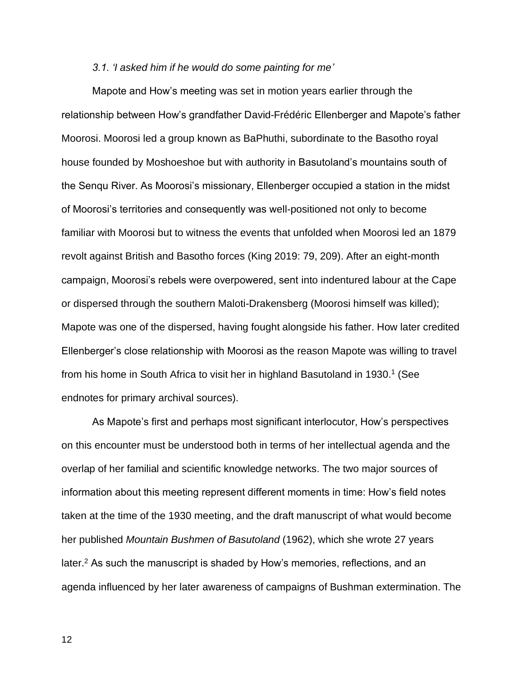### *3.1. 'I asked him if he would do some painting for me'*

Mapote and How's meeting was set in motion years earlier through the relationship between How's grandfather David-Frédéric Ellenberger and Mapote's father Moorosi. Moorosi led a group known as BaPhuthi, subordinate to the Basotho royal house founded by Moshoeshoe but with authority in Basutoland's mountains south of the Senqu River. As Moorosi's missionary, Ellenberger occupied a station in the midst of Moorosi's territories and consequently was well-positioned not only to become familiar with Moorosi but to witness the events that unfolded when Moorosi led an 1879 revolt against British and Basotho forces (King 2019: 79, 209). After an eight-month campaign, Moorosi's rebels were overpowered, sent into indentured labour at the Cape or dispersed through the southern Maloti-Drakensberg (Moorosi himself was killed); Mapote was one of the dispersed, having fought alongside his father. How later credited Ellenberger's close relationship with Moorosi as the reason Mapote was willing to travel from his home in South Africa to visit her in highland Basutoland in 1930.<sup>1</sup> (See endnotes for primary archival sources).

As Mapote's first and perhaps most significant interlocutor, How's perspectives on this encounter must be understood both in terms of her intellectual agenda and the overlap of her familial and scientific knowledge networks. The two major sources of information about this meeting represent different moments in time: How's field notes taken at the time of the 1930 meeting, and the draft manuscript of what would become her published *Mountain Bushmen of Basutoland* (1962), which she wrote 27 years later.<sup>2</sup> As such the manuscript is shaded by How's memories, reflections, and an agenda influenced by her later awareness of campaigns of Bushman extermination. The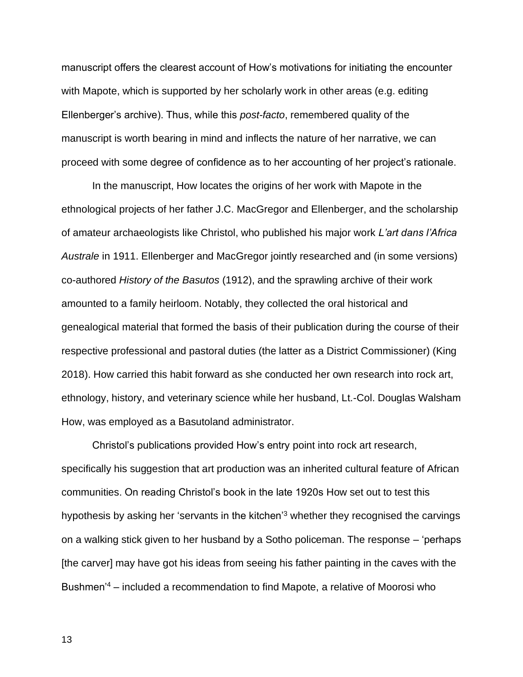manuscript offers the clearest account of How's motivations for initiating the encounter with Mapote, which is supported by her scholarly work in other areas (e.g. editing Ellenberger's archive). Thus, while this *post-facto*, remembered quality of the manuscript is worth bearing in mind and inflects the nature of her narrative, we can proceed with some degree of confidence as to her accounting of her project's rationale.

In the manuscript, How locates the origins of her work with Mapote in the ethnological projects of her father J.C. MacGregor and Ellenberger, and the scholarship of amateur archaeologists like Christol, who published his major work *L'art dans l'Africa Australe* in 1911. Ellenberger and MacGregor jointly researched and (in some versions) co-authored *History of the Basutos* (1912), and the sprawling archive of their work amounted to a family heirloom. Notably, they collected the oral historical and genealogical material that formed the basis of their publication during the course of their respective professional and pastoral duties (the latter as a District Commissioner) (King 2018). How carried this habit forward as she conducted her own research into rock art, ethnology, history, and veterinary science while her husband, Lt.-Col. Douglas Walsham How, was employed as a Basutoland administrator.

Christol's publications provided How's entry point into rock art research, specifically his suggestion that art production was an inherited cultural feature of African communities. On reading Christol's book in the late 1920s How set out to test this hypothesis by asking her 'servants in the kitchen'<sup>3</sup> whether they recognised the carvings on a walking stick given to her husband by a Sotho policeman. The response – 'perhaps [the carver] may have got his ideas from seeing his father painting in the caves with the Bushmen'<sup>4</sup> – included a recommendation to find Mapote, a relative of Moorosi who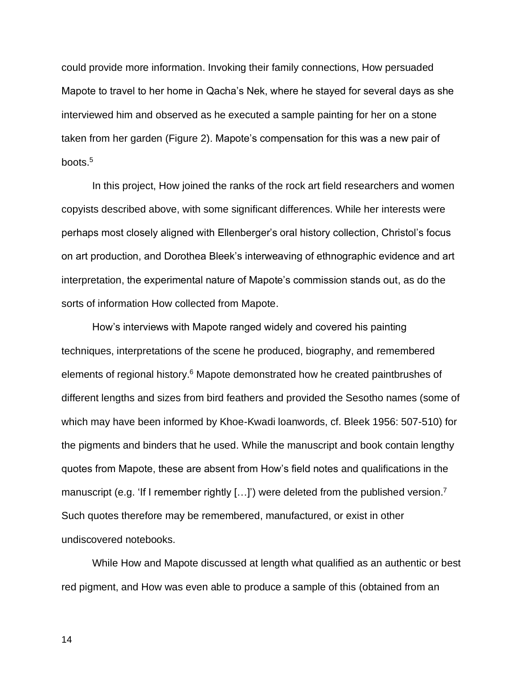could provide more information. Invoking their family connections, How persuaded Mapote to travel to her home in Qacha's Nek, where he stayed for several days as she interviewed him and observed as he executed a sample painting for her on a stone taken from her garden (Figure 2). Mapote's compensation for this was a new pair of boots.<sup>5</sup>

In this project, How joined the ranks of the rock art field researchers and women copyists described above, with some significant differences. While her interests were perhaps most closely aligned with Ellenberger's oral history collection, Christol's focus on art production, and Dorothea Bleek's interweaving of ethnographic evidence and art interpretation, the experimental nature of Mapote's commission stands out, as do the sorts of information How collected from Mapote.

How's interviews with Mapote ranged widely and covered his painting techniques, interpretations of the scene he produced, biography, and remembered elements of regional history.<sup>6</sup> Mapote demonstrated how he created paintbrushes of different lengths and sizes from bird feathers and provided the Sesotho names (some of which may have been informed by Khoe-Kwadi loanwords, cf. Bleek 1956: 507-510) for the pigments and binders that he used. While the manuscript and book contain lengthy quotes from Mapote, these are absent from How's field notes and qualifications in the manuscript (e.g. 'If I remember rightly  $[...]$ ) were deleted from the published version.<sup>7</sup> Such quotes therefore may be remembered, manufactured, or exist in other undiscovered notebooks.

While How and Mapote discussed at length what qualified as an authentic or best red pigment, and How was even able to produce a sample of this (obtained from an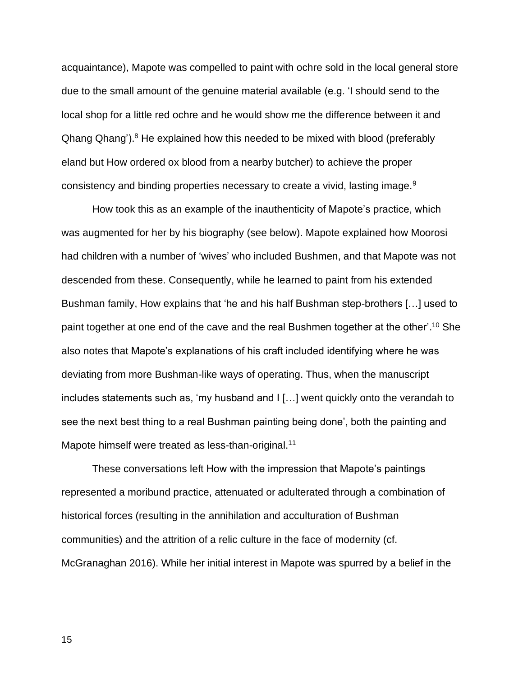acquaintance), Mapote was compelled to paint with ochre sold in the local general store due to the small amount of the genuine material available (e.g. 'I should send to the local shop for a little red ochre and he would show me the difference between it and Qhang Qhang').<sup>8</sup> He explained how this needed to be mixed with blood (preferably eland but How ordered ox blood from a nearby butcher) to achieve the proper consistency and binding properties necessary to create a vivid, lasting image.<sup>9</sup>

How took this as an example of the inauthenticity of Mapote's practice, which was augmented for her by his biography (see below). Mapote explained how Moorosi had children with a number of 'wives' who included Bushmen, and that Mapote was not descended from these. Consequently, while he learned to paint from his extended Bushman family, How explains that 'he and his half Bushman step-brothers […] used to paint together at one end of the cave and the real Bushmen together at the other'. <sup>10</sup> She also notes that Mapote's explanations of his craft included identifying where he was deviating from more Bushman-like ways of operating. Thus, when the manuscript includes statements such as, 'my husband and I […] went quickly onto the verandah to see the next best thing to a real Bushman painting being done', both the painting and Mapote himself were treated as less-than-original.<sup>11</sup>

These conversations left How with the impression that Mapote's paintings represented a moribund practice, attenuated or adulterated through a combination of historical forces (resulting in the annihilation and acculturation of Bushman communities) and the attrition of a relic culture in the face of modernity (cf. McGranaghan 2016). While her initial interest in Mapote was spurred by a belief in the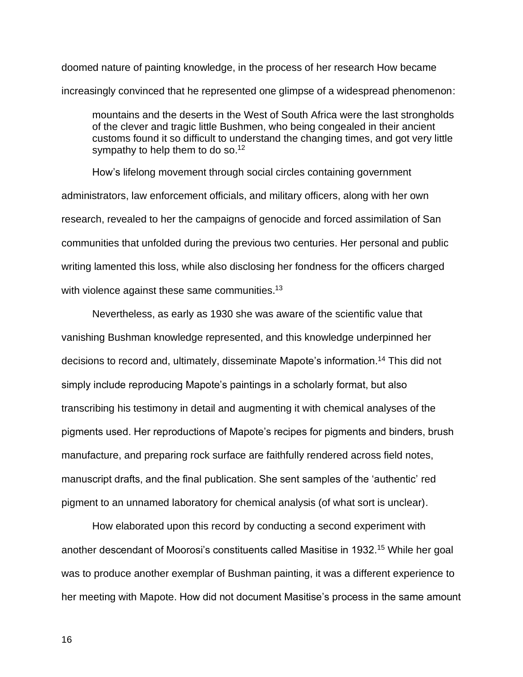doomed nature of painting knowledge, in the process of her research How became increasingly convinced that he represented one glimpse of a widespread phenomenon:

mountains and the deserts in the West of South Africa were the last strongholds of the clever and tragic little Bushmen, who being congealed in their ancient customs found it so difficult to understand the changing times, and got very little sympathy to help them to do so.<sup>12</sup>

How's lifelong movement through social circles containing government administrators, law enforcement officials, and military officers, along with her own research, revealed to her the campaigns of genocide and forced assimilation of San communities that unfolded during the previous two centuries. Her personal and public writing lamented this loss, while also disclosing her fondness for the officers charged with violence against these same communities. $^{13}$ 

Nevertheless, as early as 1930 she was aware of the scientific value that vanishing Bushman knowledge represented, and this knowledge underpinned her decisions to record and, ultimately, disseminate Mapote's information.<sup>14</sup> This did not simply include reproducing Mapote's paintings in a scholarly format, but also transcribing his testimony in detail and augmenting it with chemical analyses of the pigments used. Her reproductions of Mapote's recipes for pigments and binders, brush manufacture, and preparing rock surface are faithfully rendered across field notes, manuscript drafts, and the final publication. She sent samples of the 'authentic' red pigment to an unnamed laboratory for chemical analysis (of what sort is unclear).

How elaborated upon this record by conducting a second experiment with another descendant of Moorosi's constituents called Masitise in 1932.<sup>15</sup> While her goal was to produce another exemplar of Bushman painting, it was a different experience to her meeting with Mapote. How did not document Masitise's process in the same amount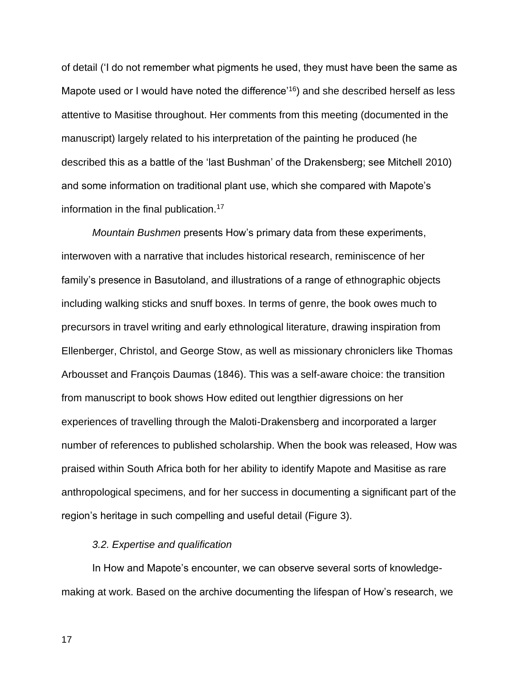of detail ('I do not remember what pigments he used, they must have been the same as Mapote used or I would have noted the difference'<sup>16</sup>) and she described herself as less attentive to Masitise throughout. Her comments from this meeting (documented in the manuscript) largely related to his interpretation of the painting he produced (he described this as a battle of the 'last Bushman' of the Drakensberg; see Mitchell 2010) and some information on traditional plant use, which she compared with Mapote's information in the final publication.<sup>17</sup>

*Mountain Bushmen* presents How's primary data from these experiments, interwoven with a narrative that includes historical research, reminiscence of her family's presence in Basutoland, and illustrations of a range of ethnographic objects including walking sticks and snuff boxes. In terms of genre, the book owes much to precursors in travel writing and early ethnological literature, drawing inspiration from Ellenberger, Christol, and George Stow, as well as missionary chroniclers like Thomas Arbousset and François Daumas (1846). This was a self-aware choice: the transition from manuscript to book shows How edited out lengthier digressions on her experiences of travelling through the Maloti-Drakensberg and incorporated a larger number of references to published scholarship. When the book was released, How was praised within South Africa both for her ability to identify Mapote and Masitise as rare anthropological specimens, and for her success in documenting a significant part of the region's heritage in such compelling and useful detail (Figure 3).

### *3.2. Expertise and qualification*

In How and Mapote's encounter, we can observe several sorts of knowledgemaking at work. Based on the archive documenting the lifespan of How's research, we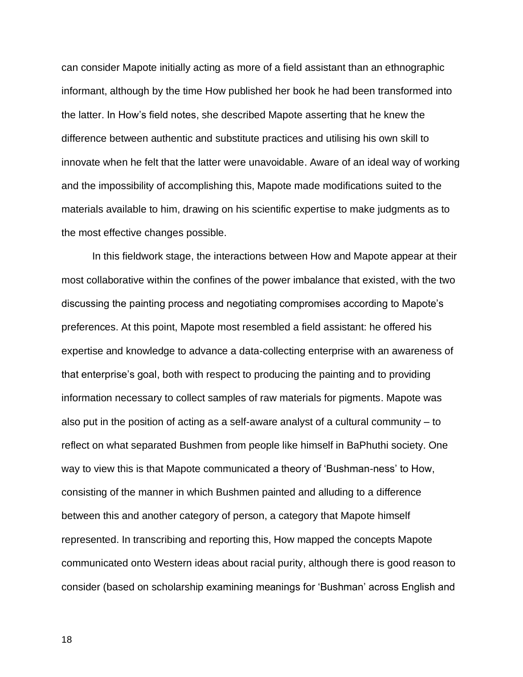can consider Mapote initially acting as more of a field assistant than an ethnographic informant, although by the time How published her book he had been transformed into the latter. In How's field notes, she described Mapote asserting that he knew the difference between authentic and substitute practices and utilising his own skill to innovate when he felt that the latter were unavoidable. Aware of an ideal way of working and the impossibility of accomplishing this, Mapote made modifications suited to the materials available to him, drawing on his scientific expertise to make judgments as to the most effective changes possible.

In this fieldwork stage, the interactions between How and Mapote appear at their most collaborative within the confines of the power imbalance that existed, with the two discussing the painting process and negotiating compromises according to Mapote's preferences. At this point, Mapote most resembled a field assistant: he offered his expertise and knowledge to advance a data-collecting enterprise with an awareness of that enterprise's goal, both with respect to producing the painting and to providing information necessary to collect samples of raw materials for pigments. Mapote was also put in the position of acting as a self-aware analyst of a cultural community – to reflect on what separated Bushmen from people like himself in BaPhuthi society. One way to view this is that Mapote communicated a theory of 'Bushman-ness' to How, consisting of the manner in which Bushmen painted and alluding to a difference between this and another category of person, a category that Mapote himself represented. In transcribing and reporting this, How mapped the concepts Mapote communicated onto Western ideas about racial purity, although there is good reason to consider (based on scholarship examining meanings for 'Bushman' across English and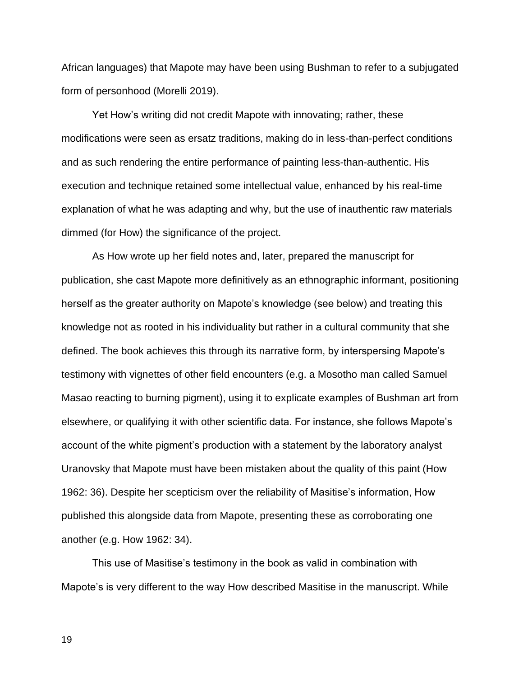African languages) that Mapote may have been using Bushman to refer to a subjugated form of personhood (Morelli 2019).

Yet How's writing did not credit Mapote with innovating; rather, these modifications were seen as ersatz traditions, making do in less-than-perfect conditions and as such rendering the entire performance of painting less-than-authentic. His execution and technique retained some intellectual value, enhanced by his real-time explanation of what he was adapting and why, but the use of inauthentic raw materials dimmed (for How) the significance of the project.

As How wrote up her field notes and, later, prepared the manuscript for publication, she cast Mapote more definitively as an ethnographic informant, positioning herself as the greater authority on Mapote's knowledge (see below) and treating this knowledge not as rooted in his individuality but rather in a cultural community that she defined. The book achieves this through its narrative form, by interspersing Mapote's testimony with vignettes of other field encounters (e.g. a Mosotho man called Samuel Masao reacting to burning pigment), using it to explicate examples of Bushman art from elsewhere, or qualifying it with other scientific data. For instance, she follows Mapote's account of the white pigment's production with a statement by the laboratory analyst Uranovsky that Mapote must have been mistaken about the quality of this paint (How 1962: 36). Despite her scepticism over the reliability of Masitise's information, How published this alongside data from Mapote, presenting these as corroborating one another (e.g. How 1962: 34).

This use of Masitise's testimony in the book as valid in combination with Mapote's is very different to the way How described Masitise in the manuscript. While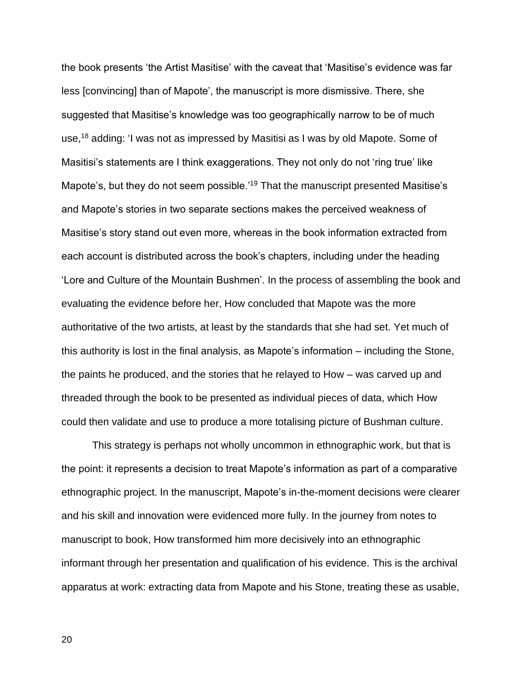the book presents 'the Artist Masitise' with the caveat that 'Masitise's evidence was far less [convincing] than of Mapote', the manuscript is more dismissive. There, she suggested that Masitise's knowledge was too geographically narrow to be of much use,<sup>18</sup> adding: 'I was not as impressed by Masitisi as I was by old Mapote. Some of Masitisi's statements are I think exaggerations. They not only do not 'ring true' like Mapote's, but they do not seem possible.<sup>'19</sup> That the manuscript presented Masitise's and Mapote's stories in two separate sections makes the perceived weakness of Masitise's story stand out even more, whereas in the book information extracted from each account is distributed across the book's chapters, including under the heading 'Lore and Culture of the Mountain Bushmen'. In the process of assembling the book and evaluating the evidence before her, How concluded that Mapote was the more authoritative of the two artists, at least by the standards that she had set. Yet much of this authority is lost in the final analysis, as Mapote's information – including the Stone, the paints he produced, and the stories that he relayed to How – was carved up and threaded through the book to be presented as individual pieces of data, which How could then validate and use to produce a more totalising picture of Bushman culture.

This strategy is perhaps not wholly uncommon in ethnographic work, but that is the point: it represents a decision to treat Mapote's information as part of a comparative ethnographic project. In the manuscript, Mapote's in-the-moment decisions were clearer and his skill and innovation were evidenced more fully. In the journey from notes to manuscript to book, How transformed him more decisively into an ethnographic informant through her presentation and qualification of his evidence. This is the archival apparatus at work: extracting data from Mapote and his Stone, treating these as usable,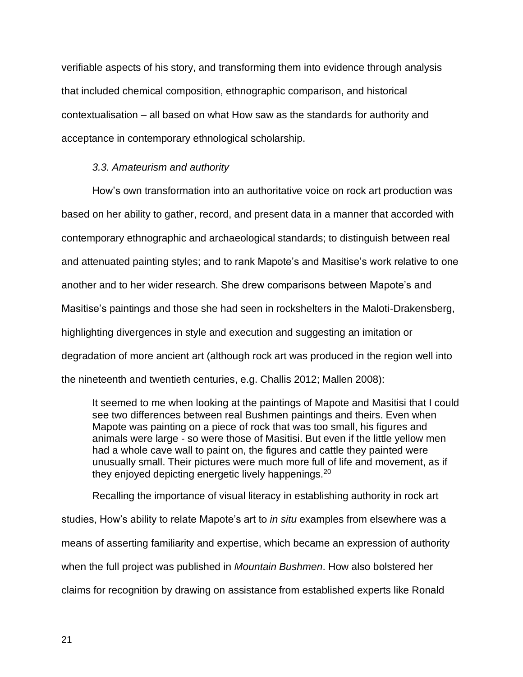verifiable aspects of his story, and transforming them into evidence through analysis that included chemical composition, ethnographic comparison, and historical contextualisation – all based on what How saw as the standards for authority and acceptance in contemporary ethnological scholarship.

### *3.3. Amateurism and authority*

How's own transformation into an authoritative voice on rock art production was based on her ability to gather, record, and present data in a manner that accorded with contemporary ethnographic and archaeological standards; to distinguish between real and attenuated painting styles; and to rank Mapote's and Masitise's work relative to one another and to her wider research. She drew comparisons between Mapote's and Masitise's paintings and those she had seen in rockshelters in the Maloti-Drakensberg, highlighting divergences in style and execution and suggesting an imitation or degradation of more ancient art (although rock art was produced in the region well into the nineteenth and twentieth centuries, e.g. Challis 2012; Mallen 2008):

It seemed to me when looking at the paintings of Mapote and Masitisi that I could see two differences between real Bushmen paintings and theirs. Even when Mapote was painting on a piece of rock that was too small, his figures and animals were large - so were those of Masitisi. But even if the little yellow men had a whole cave wall to paint on, the figures and cattle they painted were unusually small. Their pictures were much more full of life and movement, as if they enjoyed depicting energetic lively happenings.<sup>20</sup>

Recalling the importance of visual literacy in establishing authority in rock art studies, How's ability to relate Mapote's art to *in situ* examples from elsewhere was a means of asserting familiarity and expertise, which became an expression of authority when the full project was published in *Mountain Bushmen*. How also bolstered her claims for recognition by drawing on assistance from established experts like Ronald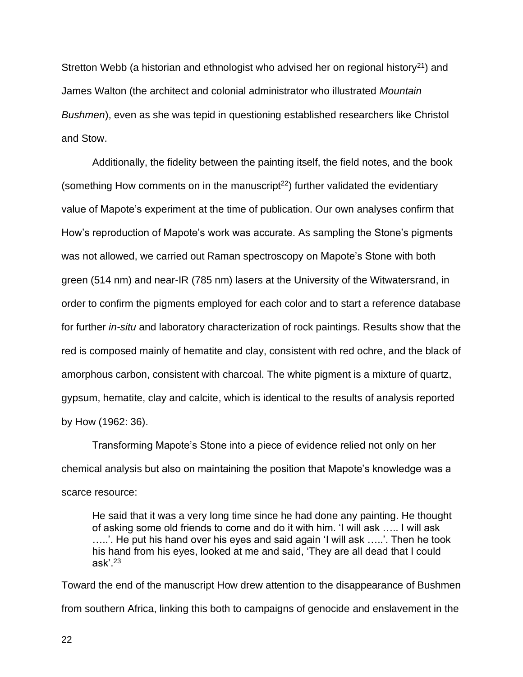Stretton Webb (a historian and ethnologist who advised her on regional history<sup>21</sup>) and James Walton (the architect and colonial administrator who illustrated *Mountain Bushmen*), even as she was tepid in questioning established researchers like Christol and Stow.

Additionally, the fidelity between the painting itself, the field notes, and the book (something How comments on in the manuscript<sup>22</sup>) further validated the evidentiary value of Mapote's experiment at the time of publication. Our own analyses confirm that How's reproduction of Mapote's work was accurate. As sampling the Stone's pigments was not allowed, we carried out Raman spectroscopy on Mapote's Stone with both green (514 nm) and near-IR (785 nm) lasers at the University of the Witwatersrand, in order to confirm the pigments employed for each color and to start a reference database for further *in-situ* and laboratory characterization of rock paintings. Results show that the red is composed mainly of hematite and clay, consistent with red ochre, and the black of amorphous carbon, consistent with charcoal. The white pigment is a mixture of quartz, gypsum, hematite, clay and calcite, which is identical to the results of analysis reported by How (1962: 36).

Transforming Mapote's Stone into a piece of evidence relied not only on her chemical analysis but also on maintaining the position that Mapote's knowledge was a scarce resource:

He said that it was a very long time since he had done any painting. He thought of asking some old friends to come and do it with him. 'I will ask ….. I will ask …..'. He put his hand over his eyes and said again 'I will ask …..'. Then he took his hand from his eyes, looked at me and said, 'They are all dead that I could ask'. $^{\rm 23}$ 

Toward the end of the manuscript How drew attention to the disappearance of Bushmen from southern Africa, linking this both to campaigns of genocide and enslavement in the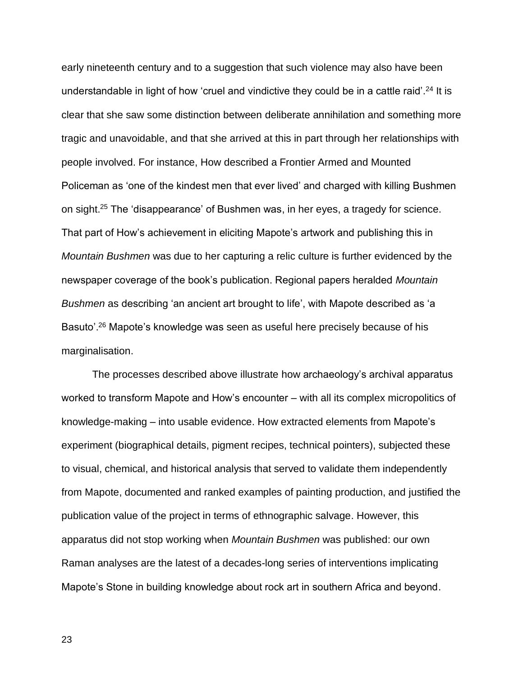early nineteenth century and to a suggestion that such violence may also have been understandable in light of how 'cruel and vindictive they could be in a cattle raid'.<sup>24</sup> It is clear that she saw some distinction between deliberate annihilation and something more tragic and unavoidable, and that she arrived at this in part through her relationships with people involved. For instance, How described a Frontier Armed and Mounted Policeman as 'one of the kindest men that ever lived' and charged with killing Bushmen on sight.<sup>25</sup> The 'disappearance' of Bushmen was, in her eyes, a tragedy for science. That part of How's achievement in eliciting Mapote's artwork and publishing this in *Mountain Bushmen* was due to her capturing a relic culture is further evidenced by the newspaper coverage of the book's publication. Regional papers heralded *Mountain Bushmen* as describing 'an ancient art brought to life', with Mapote described as 'a Basuto'.<sup>26</sup> Mapote's knowledge was seen as useful here precisely because of his marginalisation.

The processes described above illustrate how archaeology's archival apparatus worked to transform Mapote and How's encounter – with all its complex micropolitics of knowledge-making – into usable evidence. How extracted elements from Mapote's experiment (biographical details, pigment recipes, technical pointers), subjected these to visual, chemical, and historical analysis that served to validate them independently from Mapote, documented and ranked examples of painting production, and justified the publication value of the project in terms of ethnographic salvage. However, this apparatus did not stop working when *Mountain Bushmen* was published: our own Raman analyses are the latest of a decades-long series of interventions implicating Mapote's Stone in building knowledge about rock art in southern Africa and beyond.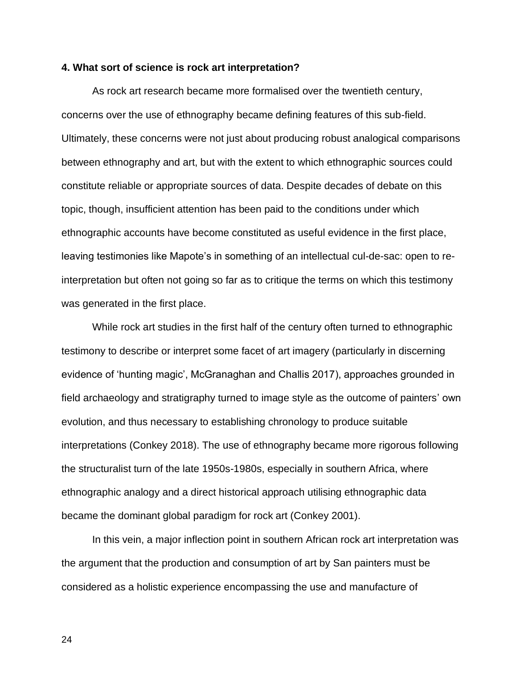### **4. What sort of science is rock art interpretation?**

As rock art research became more formalised over the twentieth century, concerns over the use of ethnography became defining features of this sub-field. Ultimately, these concerns were not just about producing robust analogical comparisons between ethnography and art, but with the extent to which ethnographic sources could constitute reliable or appropriate sources of data. Despite decades of debate on this topic, though, insufficient attention has been paid to the conditions under which ethnographic accounts have become constituted as useful evidence in the first place, leaving testimonies like Mapote's in something of an intellectual cul-de-sac: open to reinterpretation but often not going so far as to critique the terms on which this testimony was generated in the first place.

While rock art studies in the first half of the century often turned to ethnographic testimony to describe or interpret some facet of art imagery (particularly in discerning evidence of 'hunting magic', McGranaghan and Challis 2017), approaches grounded in field archaeology and stratigraphy turned to image style as the outcome of painters' own evolution, and thus necessary to establishing chronology to produce suitable interpretations (Conkey 2018). The use of ethnography became more rigorous following the structuralist turn of the late 1950s-1980s, especially in southern Africa, where ethnographic analogy and a direct historical approach utilising ethnographic data became the dominant global paradigm for rock art (Conkey 2001).

In this vein, a major inflection point in southern African rock art interpretation was the argument that the production and consumption of art by San painters must be considered as a holistic experience encompassing the use and manufacture of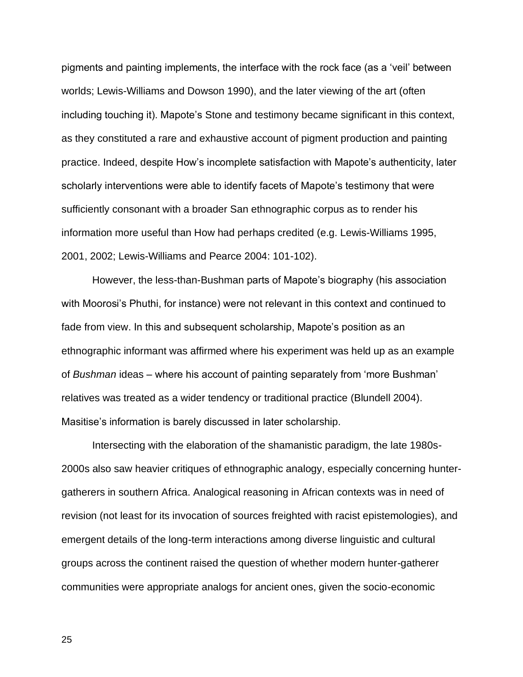pigments and painting implements, the interface with the rock face (as a 'veil' between worlds; Lewis-Williams and Dowson 1990), and the later viewing of the art (often including touching it). Mapote's Stone and testimony became significant in this context, as they constituted a rare and exhaustive account of pigment production and painting practice. Indeed, despite How's incomplete satisfaction with Mapote's authenticity, later scholarly interventions were able to identify facets of Mapote's testimony that were sufficiently consonant with a broader San ethnographic corpus as to render his information more useful than How had perhaps credited (e.g. Lewis-Williams 1995, 2001, 2002; Lewis-Williams and Pearce 2004: 101-102).

However, the less-than-Bushman parts of Mapote's biography (his association with Moorosi's Phuthi, for instance) were not relevant in this context and continued to fade from view. In this and subsequent scholarship, Mapote's position as an ethnographic informant was affirmed where his experiment was held up as an example of *Bushman* ideas – where his account of painting separately from 'more Bushman' relatives was treated as a wider tendency or traditional practice (Blundell 2004). Masitise's information is barely discussed in later scholarship.

Intersecting with the elaboration of the shamanistic paradigm, the late 1980s-2000s also saw heavier critiques of ethnographic analogy, especially concerning huntergatherers in southern Africa. Analogical reasoning in African contexts was in need of revision (not least for its invocation of sources freighted with racist epistemologies), and emergent details of the long-term interactions among diverse linguistic and cultural groups across the continent raised the question of whether modern hunter-gatherer communities were appropriate analogs for ancient ones, given the socio-economic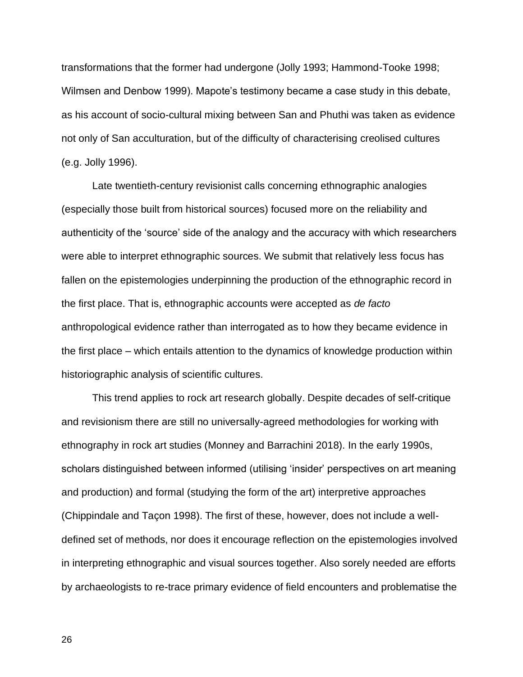transformations that the former had undergone (Jolly 1993; Hammond-Tooke 1998; Wilmsen and Denbow 1999). Mapote's testimony became a case study in this debate, as his account of socio-cultural mixing between San and Phuthi was taken as evidence not only of San acculturation, but of the difficulty of characterising creolised cultures (e.g. Jolly 1996).

Late twentieth-century revisionist calls concerning ethnographic analogies (especially those built from historical sources) focused more on the reliability and authenticity of the 'source' side of the analogy and the accuracy with which researchers were able to interpret ethnographic sources. We submit that relatively less focus has fallen on the epistemologies underpinning the production of the ethnographic record in the first place. That is, ethnographic accounts were accepted as *de facto* anthropological evidence rather than interrogated as to how they became evidence in the first place – which entails attention to the dynamics of knowledge production within historiographic analysis of scientific cultures.

This trend applies to rock art research globally. Despite decades of self-critique and revisionism there are still no universally-agreed methodologies for working with ethnography in rock art studies (Monney and Barrachini 2018). In the early 1990s, scholars distinguished between informed (utilising 'insider' perspectives on art meaning and production) and formal (studying the form of the art) interpretive approaches (Chippindale and Taçon 1998). The first of these, however, does not include a welldefined set of methods, nor does it encourage reflection on the epistemologies involved in interpreting ethnographic and visual sources together. Also sorely needed are efforts by archaeologists to re-trace primary evidence of field encounters and problematise the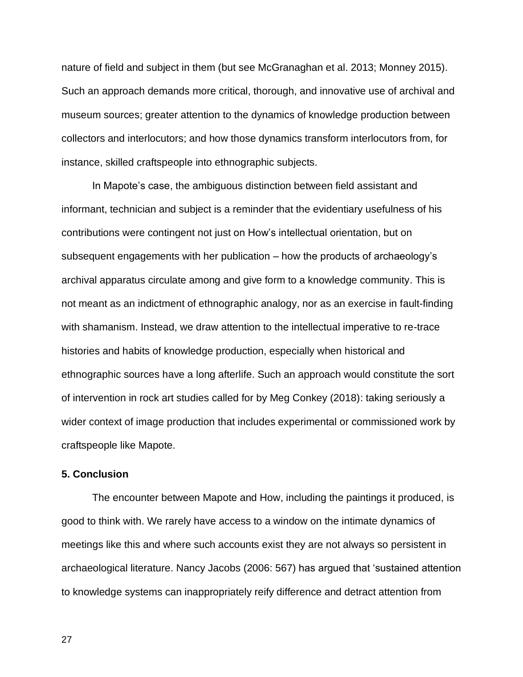nature of field and subject in them (but see McGranaghan et al. 2013; Monney 2015). Such an approach demands more critical, thorough, and innovative use of archival and museum sources; greater attention to the dynamics of knowledge production between collectors and interlocutors; and how those dynamics transform interlocutors from, for instance, skilled craftspeople into ethnographic subjects.

In Mapote's case, the ambiguous distinction between field assistant and informant, technician and subject is a reminder that the evidentiary usefulness of his contributions were contingent not just on How's intellectual orientation, but on subsequent engagements with her publication – how the products of archaeology's archival apparatus circulate among and give form to a knowledge community. This is not meant as an indictment of ethnographic analogy, nor as an exercise in fault-finding with shamanism. Instead, we draw attention to the intellectual imperative to re-trace histories and habits of knowledge production, especially when historical and ethnographic sources have a long afterlife. Such an approach would constitute the sort of intervention in rock art studies called for by Meg Conkey (2018): taking seriously a wider context of image production that includes experimental or commissioned work by craftspeople like Mapote.

### **5. Conclusion**

The encounter between Mapote and How, including the paintings it produced, is good to think with. We rarely have access to a window on the intimate dynamics of meetings like this and where such accounts exist they are not always so persistent in archaeological literature. Nancy Jacobs (2006: 567) has argued that 'sustained attention to knowledge systems can inappropriately reify difference and detract attention from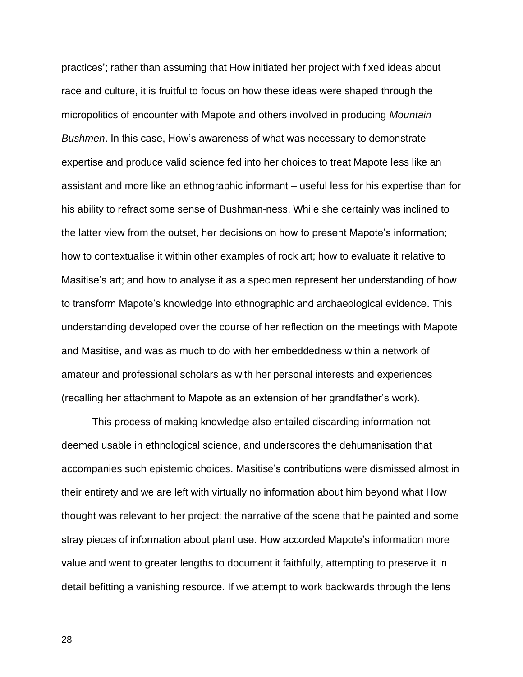practices'; rather than assuming that How initiated her project with fixed ideas about race and culture, it is fruitful to focus on how these ideas were shaped through the micropolitics of encounter with Mapote and others involved in producing *Mountain Bushmen*. In this case, How's awareness of what was necessary to demonstrate expertise and produce valid science fed into her choices to treat Mapote less like an assistant and more like an ethnographic informant – useful less for his expertise than for his ability to refract some sense of Bushman-ness. While she certainly was inclined to the latter view from the outset, her decisions on how to present Mapote's information; how to contextualise it within other examples of rock art; how to evaluate it relative to Masitise's art; and how to analyse it as a specimen represent her understanding of how to transform Mapote's knowledge into ethnographic and archaeological evidence. This understanding developed over the course of her reflection on the meetings with Mapote and Masitise, and was as much to do with her embeddedness within a network of amateur and professional scholars as with her personal interests and experiences (recalling her attachment to Mapote as an extension of her grandfather's work).

This process of making knowledge also entailed discarding information not deemed usable in ethnological science, and underscores the dehumanisation that accompanies such epistemic choices. Masitise's contributions were dismissed almost in their entirety and we are left with virtually no information about him beyond what How thought was relevant to her project: the narrative of the scene that he painted and some stray pieces of information about plant use. How accorded Mapote's information more value and went to greater lengths to document it faithfully, attempting to preserve it in detail befitting a vanishing resource. If we attempt to work backwards through the lens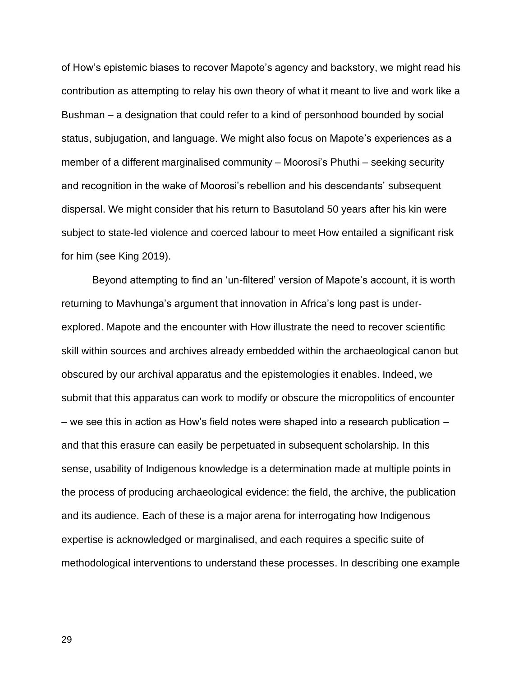of How's epistemic biases to recover Mapote's agency and backstory, we might read his contribution as attempting to relay his own theory of what it meant to live and work like a Bushman – a designation that could refer to a kind of personhood bounded by social status, subjugation, and language. We might also focus on Mapote's experiences as a member of a different marginalised community – Moorosi's Phuthi – seeking security and recognition in the wake of Moorosi's rebellion and his descendants' subsequent dispersal. We might consider that his return to Basutoland 50 years after his kin were subject to state-led violence and coerced labour to meet How entailed a significant risk for him (see King 2019).

Beyond attempting to find an 'un-filtered' version of Mapote's account, it is worth returning to Mavhunga's argument that innovation in Africa's long past is underexplored. Mapote and the encounter with How illustrate the need to recover scientific skill within sources and archives already embedded within the archaeological canon but obscured by our archival apparatus and the epistemologies it enables. Indeed, we submit that this apparatus can work to modify or obscure the micropolitics of encounter – we see this in action as How's field notes were shaped into a research publication – and that this erasure can easily be perpetuated in subsequent scholarship. In this sense, usability of Indigenous knowledge is a determination made at multiple points in the process of producing archaeological evidence: the field, the archive, the publication and its audience. Each of these is a major arena for interrogating how Indigenous expertise is acknowledged or marginalised, and each requires a specific suite of methodological interventions to understand these processes. In describing one example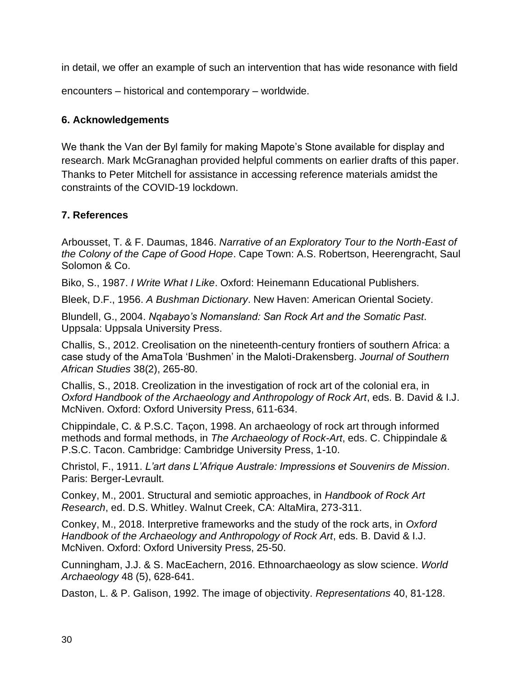in detail, we offer an example of such an intervention that has wide resonance with field

encounters – historical and contemporary – worldwide.

# **6. Acknowledgements**

We thank the Van der Byl family for making Mapote's Stone available for display and research. Mark McGranaghan provided helpful comments on earlier drafts of this paper. Thanks to Peter Mitchell for assistance in accessing reference materials amidst the constraints of the COVID-19 lockdown.

# **7. References**

Arbousset, T. & F. Daumas, 1846. *Narrative of an Exploratory Tour to the North-East of the Colony of the Cape of Good Hope*. Cape Town: A.S. Robertson, Heerengracht, Saul Solomon & Co.

Biko, S., 1987. *I Write What I Like*. Oxford: Heinemann Educational Publishers.

Bleek, D.F., 1956. *A Bushman Dictionary*. New Haven: American Oriental Society.

Blundell, G., 2004. *Nqabayo's Nomansland: San Rock Art and the Somatic Past*. Uppsala: Uppsala University Press.

Challis, S., 2012. Creolisation on the nineteenth-century frontiers of southern Africa: a case study of the AmaTola 'Bushmen' in the Maloti-Drakensberg. *Journal of Southern African Studies* 38(2), 265-80.

Challis, S., 2018. Creolization in the investigation of rock art of the colonial era, in *Oxford Handbook of the Archaeology and Anthropology of Rock Art*, eds. B. David & I.J. McNiven. Oxford: Oxford University Press, 611-634.

Chippindale, C. & P.S.C. Taçon, 1998. An archaeology of rock art through informed methods and formal methods, in *The Archaeology of Rock-Art*, eds. C. Chippindale & P.S.C. Tacon. Cambridge: Cambridge University Press, 1-10.

Christol, F., 1911. *L'art dans L'Afrique Australe: Impressions et Souvenirs de Mission*. Paris: Berger-Levrault.

Conkey, M., 2001. Structural and semiotic approaches, in *Handbook of Rock Art Research*, ed. D.S. Whitley. Walnut Creek, CA: AltaMira, 273-311.

Conkey, M., 2018. Interpretive frameworks and the study of the rock arts, in *Oxford Handbook of the Archaeology and Anthropology of Rock Art*, eds. B. David & I.J. McNiven. Oxford: Oxford University Press, 25-50.

Cunningham, J.J. & S. MacEachern, 2016. Ethnoarchaeology as slow science. *World Archaeology* 48 (5), 628-641.

Daston, L. & P. Galison, 1992. The image of objectivity. *Representations* 40, 81-128.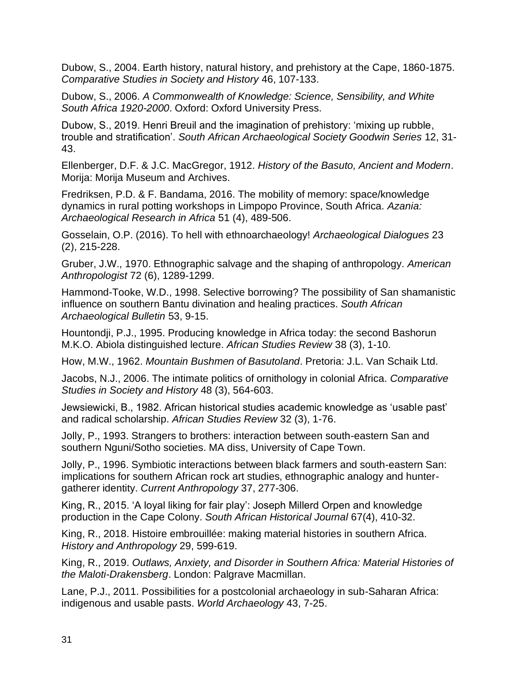Dubow, S., 2004. Earth history, natural history, and prehistory at the Cape, 1860-1875. *Comparative Studies in Society and History* 46, 107-133.

Dubow, S., 2006. *A Commonwealth of Knowledge: Science, Sensibility, and White South Africa 1920-2000*. Oxford: Oxford University Press.

Dubow, S., 2019. Henri Breuil and the imagination of prehistory: 'mixing up rubble, trouble and stratification'. *South African Archaeological Society Goodwin Series* 12, 31- 43.

Ellenberger, D.F. & J.C. MacGregor, 1912. *History of the Basuto, Ancient and Modern*. Morija: Morija Museum and Archives.

Fredriksen, P.D. & F. Bandama, 2016. The mobility of memory: space/knowledge dynamics in rural potting workshops in Limpopo Province, South Africa. *Azania: Archaeological Research in Africa* 51 (4), 489-506.

Gosselain, O.P. (2016). To hell with ethnoarchaeology! *Archaeological Dialogues* 23 (2), 215-228.

Gruber, J.W., 1970. Ethnographic salvage and the shaping of anthropology. *American Anthropologist* 72 (6), 1289-1299.

Hammond-Tooke, W.D., 1998. Selective borrowing? The possibility of San shamanistic influence on southern Bantu divination and healing practices. *South African Archaeological Bulletin* 53, 9-15.

Hountondji, P.J., 1995. Producing knowledge in Africa today: the second Bashorun M.K.O. Abiola distinguished lecture. *African Studies Review* 38 (3), 1-10.

How, M.W., 1962. *Mountain Bushmen of Basutoland*. Pretoria: J.L. Van Schaik Ltd.

Jacobs, N.J., 2006. The intimate politics of ornithology in colonial Africa. *Comparative Studies in Society and History* 48 (3), 564-603.

Jewsiewicki, B., 1982. African historical studies academic knowledge as 'usable past' and radical scholarship. *African Studies Review* 32 (3), 1-76.

Jolly, P., 1993. Strangers to brothers: interaction between south-eastern San and southern Nguni/Sotho societies. MA diss, University of Cape Town.

Jolly, P., 1996. Symbiotic interactions between black farmers and south-eastern San: implications for southern African rock art studies, ethnographic analogy and huntergatherer identity. *Current Anthropology* 37, 277-306.

King, R., 2015. 'A loyal liking for fair play': Joseph Millerd Orpen and knowledge production in the Cape Colony. *South African Historical Journal* 67(4), 410-32.

King, R., 2018. Histoire embrouillée: making material histories in southern Africa. *History and Anthropology* 29, 599-619.

King, R., 2019. *Outlaws, Anxiety, and Disorder in Southern Africa: Material Histories of the Maloti-Drakensberg*. London: Palgrave Macmillan.

Lane, P.J., 2011. Possibilities for a postcolonial archaeology in sub-Saharan Africa: indigenous and usable pasts. *World Archaeology* 43, 7-25.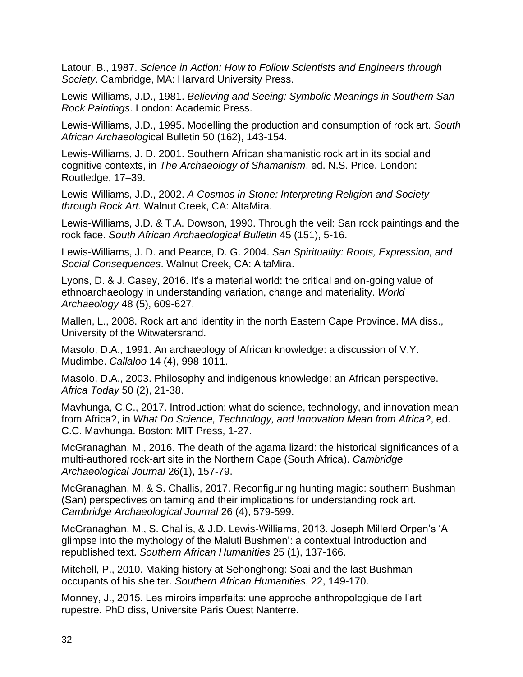Latour, B., 1987. *Science in Action: How to Follow Scientists and Engineers through Society*. Cambridge, MA: Harvard University Press.

Lewis-Williams, J.D., 1981. *Believing and Seeing: Symbolic Meanings in Southern San Rock Paintings*. London: Academic Press.

Lewis-Williams, J.D., 1995. Modelling the production and consumption of rock art. *South African Archaeolog*ical Bulletin 50 (162), 143-154.

Lewis-Williams, J. D. 2001. Southern African shamanistic rock art in its social and cognitive contexts, in *The Archaeology of Shamanism*, ed. N.S. Price. London: Routledge, 17–39.

Lewis-Williams, J.D., 2002. *A Cosmos in Stone: Interpreting Religion and Society through Rock Art*. Walnut Creek, CA: AltaMira.

Lewis-Williams, J.D. & T.A. Dowson, 1990. Through the veil: San rock paintings and the rock face. *South African Archaeological Bulletin* 45 (151), 5-16.

Lewis-Williams, J. D. and Pearce, D. G. 2004. *San Spirituality: Roots, Expression, and Social Consequences*. Walnut Creek, CA: AltaMira.

Lyons, D. & J. Casey, 2016. It's a material world: the critical and on-going value of ethnoarchaeology in understanding variation, change and materiality. *World Archaeology* 48 (5), 609-627.

Mallen, L., 2008. Rock art and identity in the north Eastern Cape Province. MA diss., University of the Witwatersrand.

Masolo, D.A., 1991. An archaeology of African knowledge: a discussion of V.Y. Mudimbe. *Callaloo* 14 (4), 998-1011.

Masolo, D.A., 2003. Philosophy and indigenous knowledge: an African perspective. *Africa Today* 50 (2), 21-38.

Mavhunga, C.C., 2017. Introduction: what do science, technology, and innovation mean from Africa?, in *What Do Science, Technology, and Innovation Mean from Africa?*, ed. C.C. Mavhunga. Boston: MIT Press, 1-27.

McGranaghan, M., 2016. The death of the agama lizard: the historical significances of a multi-authored rock-art site in the Northern Cape (South Africa). *Cambridge Archaeological Journal* 26(1), 157-79.

McGranaghan, M. & S. Challis, 2017. Reconfiguring hunting magic: southern Bushman (San) perspectives on taming and their implications for understanding rock art. *Cambridge Archaeological Journal* 26 (4), 579-599.

McGranaghan, M., S. Challis, & J.D. Lewis-Williams, 2013. Joseph Millerd Orpen's 'A glimpse into the mythology of the Maluti Bushmen': a contextual introduction and republished text. *Southern African Humanities* 25 (1), 137-166.

Mitchell, P., 2010. Making history at Sehonghong: Soai and the last Bushman occupants of his shelter. *Southern African Humanities*, 22, 149-170.

Monney, J., 2015. Les miroirs imparfaits: une approche anthropologique de l'art rupestre. PhD diss, Universite Paris Ouest Nanterre.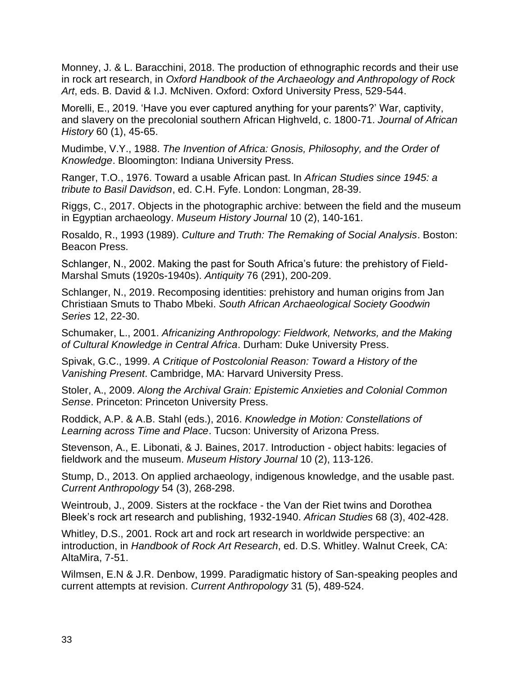Monney, J. & L. Baracchini, 2018. The production of ethnographic records and their use in rock art research, in *Oxford Handbook of the Archaeology and Anthropology of Rock Art*, eds. B. David & I.J. McNiven. Oxford: Oxford University Press, 529-544.

Morelli, E., 2019. 'Have you ever captured anything for your parents?' War, captivity, and slavery on the precolonial southern African Highveld, c. 1800-71. *Journal of African History* 60 (1), 45-65.

Mudimbe, V.Y., 1988. *The Invention of Africa: Gnosis, Philosophy, and the Order of Knowledge*. Bloomington: Indiana University Press.

Ranger, T.O., 1976. Toward a usable African past. In *African Studies since 1945: a tribute to Basil Davidson*, ed. C.H. Fyfe. London: Longman, 28-39.

Riggs, C., 2017. Objects in the photographic archive: between the field and the museum in Egyptian archaeology. *Museum History Journal* 10 (2), 140-161.

Rosaldo, R., 1993 (1989). *Culture and Truth: The Remaking of Social Analysis*. Boston: Beacon Press.

Schlanger, N., 2002. Making the past for South Africa's future: the prehistory of Field-Marshal Smuts (1920s-1940s). *Antiquity* 76 (291), 200-209.

Schlanger, N., 2019. Recomposing identities: prehistory and human origins from Jan Christiaan Smuts to Thabo Mbeki. *South African Archaeological Society Goodwin Series* 12, 22-30.

Schumaker, L., 2001. *Africanizing Anthropology: Fieldwork, Networks, and the Making of Cultural Knowledge in Central Africa*. Durham: Duke University Press.

Spivak, G.C., 1999. *A Critique of Postcolonial Reason: Toward a History of the Vanishing Present*. Cambridge, MA: Harvard University Press.

Stoler, A., 2009. *Along the Archival Grain: Epistemic Anxieties and Colonial Common Sense*. Princeton: Princeton University Press.

Roddick, A.P. & A.B. Stahl (eds.), 2016. *Knowledge in Motion: Constellations of Learning across Time and Place*. Tucson: University of Arizona Press.

Stevenson, A., E. Libonati, & J. Baines, 2017. Introduction - object habits: legacies of fieldwork and the museum. *Museum History Journal* 10 (2), 113-126.

Stump, D., 2013. On applied archaeology, indigenous knowledge, and the usable past. *Current Anthropology* 54 (3), 268-298.

Weintroub, J., 2009. Sisters at the rockface - the Van der Riet twins and Dorothea Bleek's rock art research and publishing, 1932-1940. *African Studies* 68 (3), 402-428.

Whitley, D.S., 2001. Rock art and rock art research in worldwide perspective: an introduction, in *Handbook of Rock Art Research*, ed. D.S. Whitley. Walnut Creek, CA: AltaMira, 7-51.

Wilmsen, E.N & J.R. Denbow, 1999. Paradigmatic history of San-speaking peoples and current attempts at revision. *Current Anthropology* 31 (5), 489-524.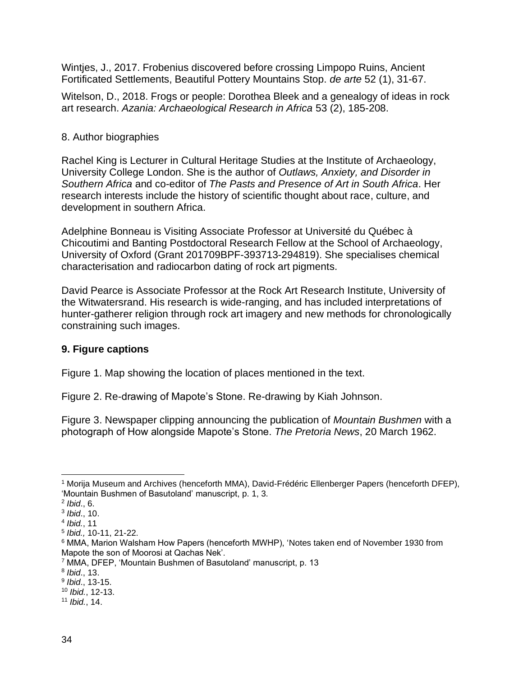Wintjes, J., 2017. Frobenius discovered before crossing Limpopo Ruins, Ancient Fortificated Settlements, Beautiful Pottery Mountains Stop. *de arte* 52 (1), 31-67.

Witelson, D., 2018. Frogs or people: Dorothea Bleek and a genealogy of ideas in rock art research. *Azania: Archaeological Research in Africa* 53 (2), 185-208.

# 8. Author biographies

Rachel King is Lecturer in Cultural Heritage Studies at the Institute of Archaeology, University College London. She is the author of *Outlaws, Anxiety, and Disorder in Southern Africa* and co-editor of *The Pasts and Presence of Art in South Africa*. Her research interests include the history of scientific thought about race, culture, and development in southern Africa.

Adelphine Bonneau is Visiting Associate Professor at Université du Québec à Chicoutimi and Banting Postdoctoral Research Fellow at the School of Archaeology, University of Oxford (Grant 201709BPF-393713-294819). She specialises chemical characterisation and radiocarbon dating of rock art pigments.

David Pearce is Associate Professor at the Rock Art Research Institute, University of the Witwatersrand. His research is wide-ranging, and has included interpretations of hunter-gatherer religion through rock art imagery and new methods for chronologically constraining such images.

# **9. Figure captions**

Figure 1. Map showing the location of places mentioned in the text.

Figure 2. Re-drawing of Mapote's Stone. Re-drawing by Kiah Johnson.

Figure 3. Newspaper clipping announcing the publication of *Mountain Bushmen* with a photograph of How alongside Mapote's Stone. *The Pretoria News*, 20 March 1962.

<sup>10</sup> *Ibid.*, 12-13.

<sup>1</sup> Morija Museum and Archives (henceforth MMA), David-Frédéric Ellenberger Papers (henceforth DFEP), 'Mountain Bushmen of Basutoland' manuscript, p. 1, 3.

<sup>2</sup> *Ibid*., 6.

<sup>3</sup> *Ibid*., 10.

<sup>4</sup> *Ibid.*, 11

<sup>5</sup> *Ibid.,* 10-11, 21-22.

<sup>6</sup> MMA, Marion Walsham How Papers (henceforth MWHP), 'Notes taken end of November 1930 from Mapote the son of Moorosi at Qachas Nek'.

<sup>7</sup> MMA, DFEP, 'Mountain Bushmen of Basutoland' manuscript, p. 13

<sup>8</sup> *Ibid*., 13.

<sup>9</sup> *Ibid*., 13-15.

<sup>11</sup> *Ibid.*, 14.